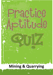# 

# **Mining & Quarrying**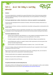## Part 1: About this Mining & Quarrying Resource



#### **Guidance**

١

Ţ

The Practice Aptitude Quiz is intended to be a general illustration of some of the key learning standards required of people attempting an Australian Apprenticeships entry level qualification in the Mining and Quarrying Industries.

#### **This Practice Aptitude Quiz is neither a formal tool nor a direct pre-requisite for any job application.**

This quiz has been developed with the assistance of industry, TAFE and the secondary school sector as a careers resource.

The quiz focuses on literacy, numeracy, comprehension and problem solving questions contextualised to this specific industry.

The quiz can be utilised by numerous organisations and people such as careers practitioners working with young people, Group Training Organisations and Job Services Australia providers working with job seekers.

#### **The Practice Aptitude Quiz can be:**

- Used by careers practitioners with individuals or in a class setting to provide general guidance on the level of study involved in undertaking an entry level qualification in this industry;
- Provided to people to enable them to practice their skills before sitting an actual aptitude test;
- Used by Mathematics teachers as a guide to industry maths requirements at the entry point of this particular Australian Apprenticeship;
- Used by teachers as classroom based activities for students in Year 11 and 12 VET studies.

The level of reading, writing and mathematical skills assessed by this quiz is equivalent to that of a typical young person at Year 10 or 11 level.

Please note that rates quoted in this assessment for various items, including pay rates, are not meant to reflect today's values, but are used purely for mathematical purposes.

The quiz should be able to be completed in approximately 60 minutes.

Calculators may be used to complete this practice exercise.

Answers are located at the end of the quiz.

#### **Occupational Information and Job Hunting Resources**

Information and links on the Mining & Quarrying Industries, careers, job prospects as well as career websites and job hunting resources can be found at [www.aapathways.com.au/Career](http://www.aapathways.com.au/Career-Resources)-Resources.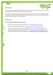#### **After the Quiz**



There are a range of support services available to help you find out about courses that may help you improve your literacy and numeracy skills and also your readiness for work.

If you are still at school you should discuss any concerns you may have with your career practitioner. Further information may also be provided by a Job Services Australia provider, an Australian Apprenticeships Centre, a Group Training Organisation or a training provider.

#### **Useful Contacts**

Г

#### **Here are some links to job seeker support services:**

- Search for your local Australian Apprenticeships Centre [www.aapathways.com.au/aac](http://www.aapathways.com.au/aac)
- Find a local Group Training Organisation [www.grouptraining.com.au/Find/find\\_gto.html](http://www.grouptraining.com.au/Find/find_gto.html)
	- Job Services Australia providers work with eligible job seekers to develop an individually tailored Employment Pathway Plan. The plan maps out the training, work experience and additional assistance needed to find job seekers sustainable employment - [www.jobsearch.gov.au/provider/default.aspx](http://www.jobsearch.gov.au/provider/default.aspx)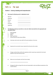# Part 2: The Quiz



#### **Section 1 - Literacy, Reading and Comprehension**

**1. Rearrange the following words in alphabetical order:**

| Open pit          |  |
|-------------------|--|
| <b>Explosives</b> |  |
| Mineral           |  |
| Safety            |  |
| Excavator         |  |
| Supervisor        |  |

**2. The following are jobs you may find on a mine site. Match each job title to the appropriate job description below.**

- i. Mine Manager
- ii. Shotfirer
- iii. Miner

I

١

- iv. Haul Truck Driver
- v. Human Resources Recruitment Officer
- **a.** Interviews and recruits new staff to fill vacant positions in the mine.
- **b.** Operates the truck which moves material from the pit to the crusher.
- **c.** Charges up blast holes and fires the explosives which create loose material for the shovel operator to put into the haul trucks.
- **d.** Mines out ore and waste rock from the ore body.
- **e.** Manages the daily running of the mine and responsible for safe and efficient production of the mined material.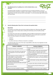#### **3. The following text has 11 spelling errors. List the mistakes below, as you find them.**



Occupational Helth and Safely is an important part of your everyday working life. The use of personal protective equitment is madatory in the workplase. Equitment can include googles, stell capped boots, hard hats and heat and fire resitent gloves. You muk read safety signs and be careful with haevy lifting.

#### **4. Read the following about 'Duty of Care' and answer the questions below.**

#### **Duty of Care**

١

t

All workplaces must follow state and territory Health and Safety Acts. While these differ slightly between states, they are always about creating and maintaining a safe and healthy working environment.

Out of these Acts comes duty of care legislation, which has different requirements for employers and employees. Duty of care means that everything within reason must be done to protect the health and safety of people at the workplace. This duty is placed on:

- › employers
- › employees
- › any others who have an influence on hazards in a workplace.

The following table shows some of the major responsibilities under duty of care legislation for both employers and employees.

| <b>Employer's obligations</b>                                                                                                          | <b>Employees obligations</b>                                                                                                                                                    |
|----------------------------------------------------------------------------------------------------------------------------------------|---------------------------------------------------------------------------------------------------------------------------------------------------------------------------------|
| Provide and maintain a safe workplace                                                                                                  | Find out what you need to know to act<br>safely                                                                                                                                 |
| Provide training, information and supervision<br>to all employees to ensure their health and<br>safety                                 | Follow instructions, safety rules and procedures<br>relating to safety. For example report to the<br>person in immediate authority when leaving work<br>at the end of the shift |
| Provide adequate working conditions and<br>facilities (light, air, space, protective<br>equipment, sanitary facilities and meal areas) | Operational staff must use or wear the equipment<br>provided (hard hat, gloves, ear and eye protection<br>etc.)                                                                 |
| Provide adequate information/signage/<br>warning on potential hazards                                                                  | Follow information, warning, safety and danger<br>signs                                                                                                                         |
| Consult and co-operate with safety and health<br>representatives                                                                       | Co-operate with safety and health representatives                                                                                                                               |
| Keep record of injuries                                                                                                                | Report hazards and injuries following site<br>procedures                                                                                                                        |
| Monitor and review workplace conditions                                                                                                | Report potential hazards and unsafe conditions                                                                                                                                  |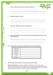

**a. Who must follow state and territory Health and Safety Acts?**

**b. What does 'Duty of Care' mean?**

۱

**c. Who has the obligation to provide a safe workplace?**

**d. Who has the obligation to use or wear the equipment provided (hard hat, gloves, ear and eye protection etc.?**

**5. The six words below are misspelt. Correctly spell each one in the space provided.**

| Supperviser |  |
|-------------|--|
| Produkshon  |  |
| Aliminium   |  |
| Excarvater  |  |
| Safty       |  |
| Exploshive  |  |

#### **6. Read the following job descriptors and answer the questions that follow.**

**[Mobile Plant Operators](http://www.miningcareers.com/working_in_mining/equipment_operator)** drive backhoes, bulldozers, excavators, front-end loaders, graders, scrapers, skid steer loaders, rollers and forklift trucks. The machines level, excavate, move and load earth, rock and other material. The job title may also be known as Bulldozer Operator, Earthmover, Grader Operator, Plant Operator, Quarry Face Loader, or Scraper Operator.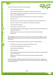Mobile Plant Operators may perform the following tasks:



- › Prepare machines for operation;
- › Load and unload equipment from low loaders and move it around work sites;
- › Select, change and operate special attachments such as winches, scrub clearers, rippers, pile drivers and rock-breaking hammers;
- › Work from drawings and markers under the direction of supervisors and engineers;
- › Back-fill trenches;

١

- › Break up paving, rock and similar material by operating hydraulic or pneumatic breakers;
- › Excavate or scrape earth, rock or rubble to the correct level and alignment;
- › Load trucks with excavated fill;
- › Drive machines to and from work sites;
- › Service equipment by cleaning, lubricating and re-fuelling it and make minor adjustments and repairs when necessary;
- › Maintain duty of care for other users and work to Occupational Health and Safety requirements.

**Haul Truck Drivers** drive haul trucks (also known as dump trucks) which are off-highway, two-axle, rigid trucks specifically engineered for use in high production mining and heavy-duty construction environments.

In the mining and surface extraction industry drivers may perform the following tasks:

- › Check brakes, oil, tyres, electrical systems, water, hydraulic and air;
- › Load (or supervise loading) material onto the truck;
- › Transport material to destination;
- › Maintain log books;
- › Service equipment by cleaning, lubricating and re-fuelling it and make minor adjustments and repairs when necessary;
- › Maintain duty of care for other users and work to Occupational Health and Safety requirements.

The work conditions for Mobile Plant Operators and Haul Truck Drivers can be hot, muddy, dusty and noisy, but most earthmoving machines and trucks have soundproofed and air-conditioned cabs for the operator/driver.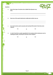|           |            |                                                                                       |           | <b>RUIZ</b>                                                                                                                         |
|-----------|------------|---------------------------------------------------------------------------------------|-----------|-------------------------------------------------------------------------------------------------------------------------------------|
| drive.    |            |                                                                                       |           |                                                                                                                                     |
|           |            |                                                                                       |           |                                                                                                                                     |
|           |            | Can a haul truck be used to excavate earth and back-fill trenches? Circle the correct |           |                                                                                                                                     |
| response. | <b>YES</b> | or                                                                                    | <b>NO</b> |                                                                                                                                     |
|           |            |                                                                                       |           | Name three types of machines that a Mobile Plant Operator may<br>Name two of the special attachments mobile plant vehicles may use. |

 $\overline{I}$ 

Г J

I

ı ۱

Ч

J.

Ă

٦

YES <u>or</u> NO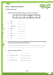#### **Section 2 - Mathematical Questions**



**A calculator may be used**

 $\prime$ 

I

۱

**1. Which unit from the table below would you use to measure the following?**

| 3 | m | km/hr | max<br> |
|---|---|-------|---------|
|   | m | min   | $\sim$  |

- **a.** Length
- **b.** Time
- **c.** Temperature
- **d.** Weight **e.** Area **f.** Speed **g.** Volume
- 
- **h.** Cost

**2. A Caterpillar 793 Haul truck has a fuel tank capacity of 4,354L. If diesel costs the mine \$1.50 per Litre, how much does it cost the mine to fill the truck?**

**3. Express the following as decimals.** 

| а. | ¼                               |  |
|----|---------------------------------|--|
|    | <b>b.</b> $26.25 + 54.5 - 30.3$ |  |
|    | c. $7 \times 2 \div 5$          |  |

**d.**  $10 \div 4 + 3 \div 2 + 5 \div 4$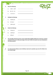|    | Solve the following:           | QUIZ                                                                                                                                                                                                  |
|----|--------------------------------|-------------------------------------------------------------------------------------------------------------------------------------------------------------------------------------------------------|
| a. | $4,562 - 1,287$                |                                                                                                                                                                                                       |
| b. | $86 + 22 - 16$                 |                                                                                                                                                                                                       |
| c. | $-25 + 82 + 5$                 |                                                                                                                                                                                                       |
|    | <b>Multiply the following:</b> |                                                                                                                                                                                                       |
| a. | 53.86 by 10                    |                                                                                                                                                                                                       |
| b. | 25.4 by 3                      |                                                                                                                                                                                                       |
| c. | 128.5 by 10                    |                                                                                                                                                                                                       |
|    | Divide the following:          |                                                                                                                                                                                                       |
| a. | 2.56 by 10                     |                                                                                                                                                                                                       |
| b. | 1,024 by 8                     |                                                                                                                                                                                                       |
| c. | 256 by 4                       |                                                                                                                                                                                                       |
|    | one decimal point.)            | The Caterpillar 793 haul truck has a Gross Vehicle Mass (GVM) of 383 tonnes and it has a nominal<br>payload of 218 tonnes. What percentage of the truck's GVM is the load it can carry? (Calculate to |
|    |                                |                                                                                                                                                                                                       |
|    |                                |                                                                                                                                                                                                       |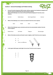|    |                   |                                                                                                 | <b>Section 3 - General Knowledge and Problem Solving</b>                                 |                           |                                                                                                                                                                                              |
|----|-------------------|-------------------------------------------------------------------------------------------------|------------------------------------------------------------------------------------------|---------------------------|----------------------------------------------------------------------------------------------------------------------------------------------------------------------------------------------|
| 1. | response.         |                                                                                                 | worn by a person to protect them from risks of injury or disease.                        |                           | Personal Protective Equipment (PPE) includes clothing, equipment and substances designed to be<br>Which of the following is not an item of Personal Protective Equipment? Circle the correct |
|    | Hard Hat          |                                                                                                 | <b>Safety Glasses</b>                                                                    | <b>Steel Capped Boots</b> | Hammer                                                                                                                                                                                       |
| 2. |                   |                                                                                                 | Which of the following is not a mined raw material? Circle the correct response.         |                           |                                                                                                                                                                                              |
|    | Silver            |                                                                                                 | Wood                                                                                     | Sand                      | Gold                                                                                                                                                                                         |
| 3. | correct response. |                                                                                                 |                                                                                          |                           | Which of the following is not a commonly used mine site communication method. Circle the                                                                                                     |
|    | Mobile Phone      |                                                                                                 | <b>UHF Radio</b>                                                                         | Telegram                  | <b>Warning Signs</b>                                                                                                                                                                         |
| 4. |                   | Which of the below wrenches will make it easier to tighten a bolt? Circle the correct response. |                                                                                          |                           |                                                                                                                                                                                              |
|    |                   | a.                                                                                              | A                                                                                        |                           |                                                                                                                                                                                              |
|    |                   | b.                                                                                              | В<br>There is no difference                                                              |                           |                                                                                                                                                                                              |
| 5. |                   |                                                                                                 | In this typical traffic signal, which light is the red one? Circle the correct response. |                           |                                                                                                                                                                                              |
|    |                   | a.                                                                                              | Α                                                                                        |                           |                                                                                                                                                                                              |
|    |                   | b.                                                                                              | B                                                                                        |                           |                                                                                                                                                                                              |
|    |                   | c.                                                                                              | $\mathsf C$                                                                              |                           |                                                                                                                                                                                              |
|    |                   |                                                                                                 |                                                                                          |                           |                                                                                                                                                                                              |

**Part** D.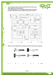

**6. You are required to drive to the town nearest the mine to pick up some safety signage from the manufacturer.**

۱

Г

**Look at the map below. You are in Depp St and can see the Town Hall to your right. What direction are you facing? Circle the correct response.**



**7. Which is the most suitable tool for breaking up concrete? Circle the correct response.**

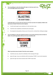**8. You are working on a mine site and see this sign on a track you want to use as a cut through to get to your worksite.** 





**It looks like there is no-one in the area and you can't hear any noise of an explosion. Which is the best course of action? Circle the correct response.**

- **a.** Use the track to get to your worksite as it is the most direct route.
- **b.** Avoid the track completely as directed by the warning sign.
- **c.** Run along the track quickly so that you are in the area for a minimal time, limiting any danger.
- **9. You are working on a mine site and find yourself in an area of the site that you have not been to before. You see the sign below which you are also not familiar with.**



**What is your best course of action? Circle the correct response.**

- **a.** Avoid the area now, and ask for clarification of the meaning of the sign.
- **b.** Ignore the sign. As you are unfamiliar with the meaning of 'STOPE' it must not be important.
- **c.** Ignore the sign now and ask someone what 'STOPE' means later.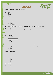



#### **Section 1 - Literacy, Reading and Comprehension**

- **1.** Excavator
	- Explosives Mineral Open pit Safety
		- Supervisor
- **2. a.** v. Human Resources Recruitment Officer
	- **b.** iv. Haul Truck Driver
	- **c.** ii. Shotfirer
	- **d.** iii. Miner
	- **e.** i. Mine Manager
- **3.** Health, Safety, equipment, mandatory, workplace, Equipment, goggles, steel, resistant, must, heavy.
	- **4. a.** All workplaces.
		- **b.** Duty of care means that everything within reason must be done to protect the health and safety of people at the workplace.
		- **c.** The employer, employees and others in the workplace.
		- **d.** All operational staff.

| Supervisor |
|------------|
| Production |
| Aluminium  |
| Excavator  |
| Safety     |
| Explosive  |

- **6. a.** Any three of: backhoes; bulldozers; excavators; front end loaders; graders; scrapers; skid steer loaders; rollers; and forklift trucks.
	- **b.** Any two of: winches; scrub clearers; rippers; pile drivers; and rock-breaking hammers.
	- **c.** No
	- **d.** Yes

#### **Section 2 - Mathematics**

**1. a.** m

**5.**

- **b.** min
	- **c.** <sup>o</sup>  $^{\circ}$ C
	- **d.** kg
	- **e.** m 2
	- **f.** km/hr
	- **g.** ml
	- **h.** \$
- **2.** \$6,531.00
- **3. a.** 0.25
	- **b.** 50.45
		- **c.** 2.8
			- **d.** 5.25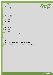|   | 4. | a.      | 3,275    |
|---|----|---------|----------|
|   |    | b.      | 92<br>62 |
|   |    | c.      |          |
|   | 5. | a.      | 538.6    |
|   |    | b.      | 76.2     |
|   |    | c.      | 1,285    |
|   | 6. | a.      | 0.256    |
|   |    | b.      | 128      |
|   |    | c.      | 64       |
|   | 7. | 56.9%   |          |
| ٠ | 8. | \$1,530 |          |

#### **Section 3 - General Knowledge and Problem Solving**

- **1.** Hammer
- **2.** Wood
- **3.** Telegram
- **4. b.** Wrench B is longer and provides more leverage.
- **5. a.** A
- **6. b.** South
- **7. c.** 3
- **8. b.** Avoid the track completely as directed by the warning sign.
- **9. a.** Avoid the area now, and ask for clarification of the meaning of the sign.

QUIZ